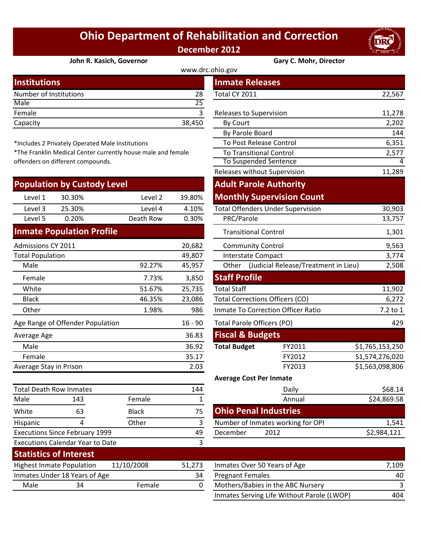## **Ohio Department of Rehabilitation and Correction December 2012**



## **[John R. Kasich, Governor](http://www.drc.ohio.gov/) Gary C. Mohr, Director**

## www.drc.ohio.gov

| <b>Institutions</b>    |        | <b>Inmate Releases</b>  |        |
|------------------------|--------|-------------------------|--------|
| Number of Institutions | 28     | Total CY 2011           | 22,567 |
| Male                   | 25     |                         |        |
| Female                 |        | Releases to Supervision | 11,278 |
| Capacity               | 38,450 | By Court                | 2,202  |
|                        |        |                         |        |

\*Includes 2 Privately Operated Male Institutions

\*The Franklin Medical Center currently house male and female offenders on different compounds.

|                                       | <b>Population by Custody Level</b> |           |           | <b>Adult Parole Authority</b>                       |                                          |                 |
|---------------------------------------|------------------------------------|-----------|-----------|-----------------------------------------------------|------------------------------------------|-----------------|
| Level 1                               | 30.30%                             | Level 2   | 39.80%    |                                                     | <b>Monthly Supervision Count</b>         |                 |
| Level 3                               | 25.30%                             | Level 4   | 4.10%     |                                                     | <b>Total Offenders Under Supervision</b> | 30,903          |
| Level 5                               | 0.20%                              | Death Row | 0.30%     | PRC/Parole                                          |                                          | 13,757          |
|                                       | <b>Inmate Population Profile</b>   |           |           | <b>Transitional Control</b>                         |                                          | 1,301           |
| Admissions CY 2011                    |                                    |           | 20,682    | <b>Community Control</b>                            |                                          | 9,563           |
| <b>Total Population</b>               |                                    |           | 49,807    | Interstate Compact                                  |                                          | 3,774           |
| Male                                  |                                    | 92.27%    | 45,957    | Other (Judicial Release/Treatment in Lieu)<br>2,508 |                                          |                 |
| Female                                |                                    | 7.73%     | 3,850     | <b>Staff Profile</b>                                |                                          |                 |
| White                                 |                                    | 51.67%    | 25,735    | <b>Total Staff</b>                                  |                                          | 11,902          |
| <b>Black</b>                          |                                    | 46.35%    | 23,086    | <b>Total Corrections Officers (CO)</b>              |                                          | 6,272           |
| Other                                 |                                    | 1.98%     | 986       | Inmate To Correction Officer Ratio                  |                                          | 7.2 to 1        |
|                                       | Age Range of Offender Population   |           | $16 - 90$ | <b>Total Parole Officers (PO)</b>                   |                                          | 429             |
| Average Age                           |                                    |           | 36.83     | <b>Fiscal &amp; Budgets</b>                         |                                          |                 |
| Male                                  |                                    |           | 36.92     | <b>Total Budget</b>                                 | FY2011                                   | \$1,765,153,250 |
| Female                                |                                    |           | 35.17     |                                                     | FY2012                                   | S1,574,276,020  |
| Average Stay in Prison                |                                    |           | 2.03      |                                                     | FY2013                                   | \$1,563,098,806 |
|                                       |                                    |           |           | <b>Average Cost Per Inmate</b>                      |                                          |                 |
| <b>Total Death Row Inmates</b><br>144 |                                    |           | Daily     | \$68.14                                             |                                          |                 |
| Male                                  | 143                                | Female    |           |                                                     | Annual                                   | \$24,869.58     |

| stitutions                                                                                 |              |           | <b>Inmate Releases</b>                     |                                          |                 |
|--------------------------------------------------------------------------------------------|--------------|-----------|--------------------------------------------|------------------------------------------|-----------------|
| mber of Institutions                                                                       |              | 28        | Total CY 2011                              |                                          | 22,567          |
| le                                                                                         |              | 25        |                                            |                                          |                 |
| nale                                                                                       |              | 3         | Releases to Supervision                    |                                          | 11,278          |
| acity                                                                                      |              | 38,450    | By Court                                   |                                          | 2,202           |
|                                                                                            |              |           | By Parole Board                            |                                          | 144             |
| cludes 2 Privately Operated Male Institutions                                              |              |           | To Post Release Control                    |                                          | 6,351           |
| e Franklin Medical Center currently house male and female<br>nders on different compounds. |              |           | <b>To Transitional Control</b>             | 2,577                                    |                 |
|                                                                                            |              |           | To Suspended Sentence                      | 4                                        |                 |
|                                                                                            |              |           | Releases without Supervision               |                                          | 11,289          |
| pulation by Custody Level                                                                  |              |           |                                            | <b>Adult Parole Authority</b>            |                 |
| Level 1<br>30.30%                                                                          | Level 2      | 39.80%    |                                            | <b>Monthly Supervision Count</b>         |                 |
| Level 3<br>25.30%                                                                          | Level 4      | 4.10%     |                                            | <b>Total Offenders Under Supervision</b> | 30,903          |
| Level 5<br>0.20%                                                                           | Death Row    | 0.30%     | PRC/Parole                                 |                                          | 13,757          |
| mate Population Profile                                                                    |              |           | <b>Transitional Control</b>                |                                          | 1,301           |
| nissions CY 2011                                                                           |              | 20,682    | <b>Community Control</b>                   |                                          | 9,563           |
| al Population                                                                              |              | 49,807    | <b>Interstate Compact</b>                  |                                          | 3,774           |
| Male                                                                                       | 92.27%       | 45,957    | Other (Judicial Release/Treatment in Lieu) |                                          | 2,508           |
| Female                                                                                     | 7.73%        | 3,850     | <b>Staff Profile</b>                       |                                          |                 |
| White                                                                                      | 51.67%       | 25,735    | <b>Total Staff</b>                         |                                          | 11,902          |
| <b>Black</b>                                                                               | 46.35%       | 23,086    |                                            | <b>Total Corrections Officers (CO)</b>   | 6,272           |
| <b>Other</b>                                                                               | 1.98%        | 986       | Inmate To Correction Officer Ratio         |                                          | 7.2 to 1        |
| <b>Range of Offender Population</b>                                                        |              | $16 - 90$ | Total Parole Officers (PO)                 |                                          | 429             |
| erage Age                                                                                  |              | 36.83     | <b>Fiscal &amp; Budgets</b>                |                                          |                 |
| Male                                                                                       |              | 36.92     | <b>Total Budget</b>                        | FY2011                                   | \$1,765,153,250 |
| Female                                                                                     |              | 35.17     |                                            | FY2012                                   | S1,574,276,020  |
| <b>Prage Stay in Prison</b>                                                                |              | 2.03      |                                            | FY2013                                   | \$1,563,098,806 |
|                                                                                            |              |           | <b>Average Cost Per Inmate</b>             |                                          |                 |
| al Death Row Inmates                                                                       |              | 144       |                                            | Daily                                    | \$68.14         |
| le<br>143                                                                                  | Female       | 1         |                                            | Annual                                   | \$24,869.58     |
| ite<br>63                                                                                  | <b>Black</b> | 75        | <b>Ohio Penal Industries</b>               |                                          |                 |
| 4<br>panic                                                                                 | Other        | 3         |                                            | Number of Inmates working for OPI        | 1,541           |
| cutions Since February 1999                                                                |              | 49        | December                                   | 2012                                     | \$2,984,121     |
| cutions Calendar Year to Date                                                              |              | 3         |                                            |                                          |                 |
| atistics of Interest                                                                       |              |           |                                            |                                          |                 |

|      | <b>Statistics of Interest</b>    |            |        |                                   |       |
|------|----------------------------------|------------|--------|-----------------------------------|-------|
|      | <b>Highest Inmate Population</b> | 11/10/2008 | 51.273 | Inmates Over 50 Years of Age      | 7.109 |
|      | Inmates Under 18 Years of Age    |            | 34     | <b>Pregnant Females</b>           | 40    |
| Male | 34                               | Female     |        | Mothers/Babies in the ABC Nursery |       |
|      |                                  |            |        |                                   |       |

White 63 Black 75 Hispanic 4 Other 3

Executions Calendar Year to Date

Executions Since February 1999

| 51,273 | Inmates Over 50 Years of Age               | 7.109 |
|--------|--------------------------------------------|-------|
| 34     | <b>Pregnant Females</b>                    | 40    |
| 0      | Mothers/Babies in the ABC Nursery          |       |
|        | Inmates Serving Life Without Parole (LWOP) | 404   |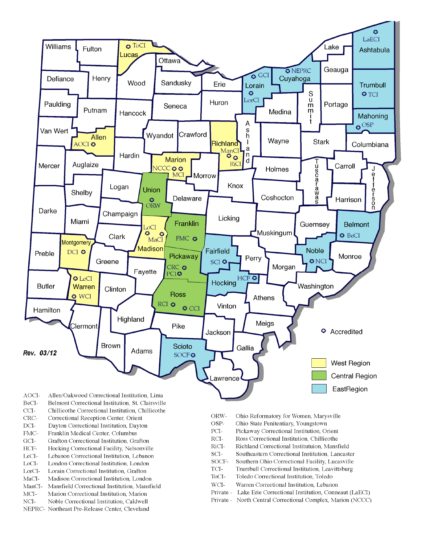

- BeCI-Belmont Correctional Institution, St. Clairsville
- $CCI-$ Chillicothe Correctional Institution, Chillicothe
- Correctional Reception Center, Orient CRC-
- $DCI-$ Dayton Correctional Institution, Dayton
- FMC-Franklin Medical Center, Columbus
- $\rm{GCI}\mbox{-}$ Grafton Correctional Institution, Grafton
- HCF-Hocking Correctional Facility, Nelsonville
- LeCI-Lebanon Correctional Institution, Lebanon
- LoCI-London Correctional Institution. London
- $\operatorname{LorCl-}$ Lorain Correctional Institution, Grafton
- $MaCI-$ Madison Correctional Institution, London
- ManCI-Mansfield Correctional Institution, Mansfield MCI-Marion Correctional Institution, Marion
- Noble Correctional Institution, Caldwell
- NCI-NEPRC- Northeast Pre-Release Center, Cleveland
- ORW-Ohio Reformatory for Women, Marysville
- OSP-Ohio State Penitentiary, Youngstown
- PCI-Pickaway Correctional Institution, Orient
- $\rm RCI-$ Ross Correctional Institution, Chillicothe
- RiCI-Richland Correctional Institutuion, Mansfield
- SCI-Southeastern Correctional Institution, Lancaster
- SOCF-Southern Ohio Correctional Facility, Lucasville
- TCI-Trumbull Correctional Institution, Leavittsburg
- ToCI-Toledo Correctional Institution, Toledo
- $WCI-$ Warren Correctional Institution, Lebanon
- Private Lake Erie Correctional Institution, Conneaut (LaECI)
- Private North Central Correctional Complex, Marion (NCCC)